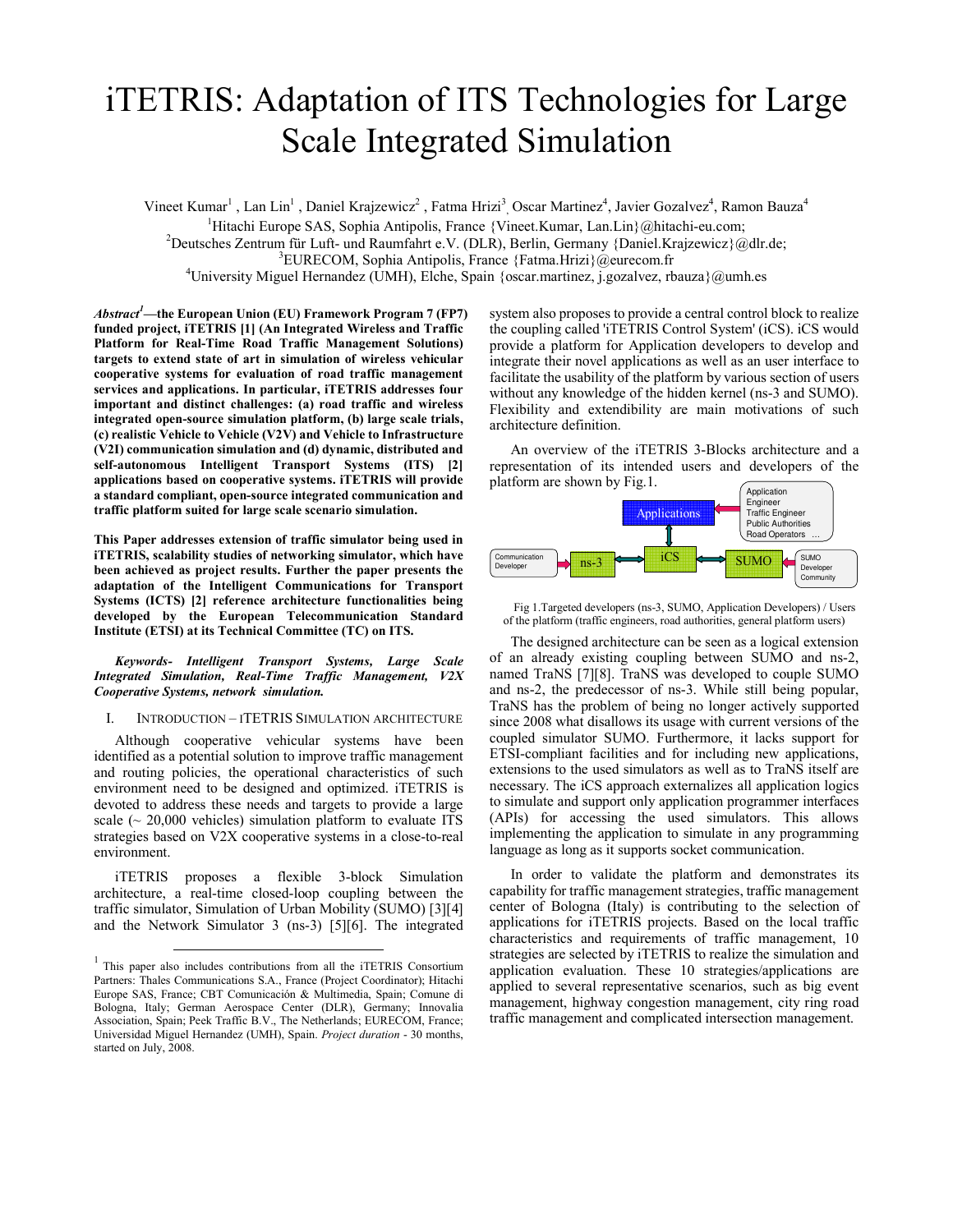# iTETRIS: Adaptation of ITS Technologies for Large Scale Integrated Simulation

Vineet Kumar<sup>1</sup>, Lan Lin<sup>1</sup>, Daniel Krajzewicz<sup>2</sup>, Fatma Hrizi<sup>3</sup>, Oscar Martinez<sup>4</sup>, Javier Gozalvez<sup>4</sup>, Ramon Bauza<sup>4</sup> <sup>1</sup>Hitachi Europe SAS, Sophia Antipolis, France {Vineet.Kumar, Lan.Lin}@hitachi-eu.com; <sup>2</sup>Deutsches Zentrum für Luft- und Raumfahrt e.V. (DLR), Berlin, Germany {Daniel.Krajzewicz}@dlr.de; <sup>3</sup>EURECOM, Sophia Antipolis, France {Fatma.Hrizi}@eurecom.fr

<sup>4</sup>University Miguel Hernandez (UMH), Elche, Spain {oscar.martinez, j.gozalvez, rbauza}@umh.es

 $Abstract<sup>1</sup>$ —the European Union (EU) Framework Program 7 (FP7) funded project, iTETRIS [1] (An Integrated Wireless and Traffic Platform for Real-Time Road Traffic Management Solutions) targets to extend state of art in simulation of wireless vehicular cooperative systems for evaluation of road traffic management services and applications. In particular, iTETRIS addresses four important and distinct challenges: (a) road traffic and wireless integrated open-source simulation platform, (b) large scale trials, (c) realistic Vehicle to Vehicle (V2V) and Vehicle to Infrastructure (V2I) communication simulation and (d) dynamic, distributed and self-autonomous Intelligent Transport Systems (ITS) [2] applications based on cooperative systems. iTETRIS will provide a standard compliant, open-source integrated communication and traffic platform suited for large scale scenario simulation.

This Paper addresses extension of traffic simulator being used in iTETRIS, scalability studies of networking simulator, which have been achieved as project results. Further the paper presents the adaptation of the Intelligent Communications for Transport Systems (ICTS) [2] reference architecture functionalities being developed by the European Telecommunication Standard Institute (ETSI) at its Technical Committee (TC) on ITS.

Keywords- Intelligent Transport Systems, Large Scale Integrated Simulation, Real-Time Traffic Management, V2X Cooperative Systems, network simulation.

I. INTRODUCTION – ITETRIS SIMULATION ARCHITECTURE

Although cooperative vehicular systems have been identified as a potential solution to improve traffic management and routing policies, the operational characteristics of such environment need to be designed and optimized. iTETRIS is devoted to address these needs and targets to provide a large scale  $\sim$  20,000 vehicles) simulation platform to evaluate ITS strategies based on V2X cooperative systems in a close-to-real environment.

iTETRIS proposes a flexible 3-block Simulation architecture, a real-time closed-loop coupling between the traffic simulator, Simulation of Urban Mobility (SUMO) [3][4] and the Network Simulator 3 (ns-3) [5][6]. The integrated

 $\overline{a}$ 

system also proposes to provide a central control block to realize the coupling called 'iTETRIS Control System' (iCS). iCS would provide a platform for Application developers to develop and integrate their novel applications as well as an user interface to facilitate the usability of the platform by various section of users without any knowledge of the hidden kernel (ns-3 and SUMO). Flexibility and extendibility are main motivations of such architecture definition.

An overview of the iTETRIS 3-Blocks architecture and a representation of its intended users and developers of the



Fig 1.Targeted developers (ns-3, SUMO, Application Developers) / Users of the platform (traffic engineers, road authorities, general platform users)

The designed architecture can be seen as a logical extension of an already existing coupling between SUMO and ns-2, named TraNS [7][8]. TraNS was developed to couple SUMO and ns-2, the predecessor of ns-3. While still being popular, TraNS has the problem of being no longer actively supported since 2008 what disallows its usage with current versions of the coupled simulator SUMO. Furthermore, it lacks support for ETSI-compliant facilities and for including new applications, extensions to the used simulators as well as to TraNS itself are necessary. The iCS approach externalizes all application logics to simulate and support only application programmer interfaces (APIs) for accessing the used simulators. This allows implementing the application to simulate in any programming language as long as it supports socket communication.

In order to validate the platform and demonstrates its capability for traffic management strategies, traffic management center of Bologna (Italy) is contributing to the selection of applications for iTETRIS projects. Based on the local traffic characteristics and requirements of traffic management, 10 strategies are selected by iTETRIS to realize the simulation and application evaluation. These 10 strategies/applications are applied to several representative scenarios, such as big event management, highway congestion management, city ring road traffic management and complicated intersection management.

<sup>&</sup>lt;sup>1</sup> This paper also includes contributions from all the iTETRIS Consortium Partners: Thales Communications S.A., France (Project Coordinator); Hitachi Europe SAS, France; CBT Comunicación & Multimedia, Spain; Comune di Bologna, Italy; German Aerospace Center (DLR), Germany; Innovalia Association, Spain; Peek Traffic B.V., The Netherlands; EURECOM, France; Universidad Miguel Hernandez (UMH), Spain. Project duration - 30 months, started on July, 2008.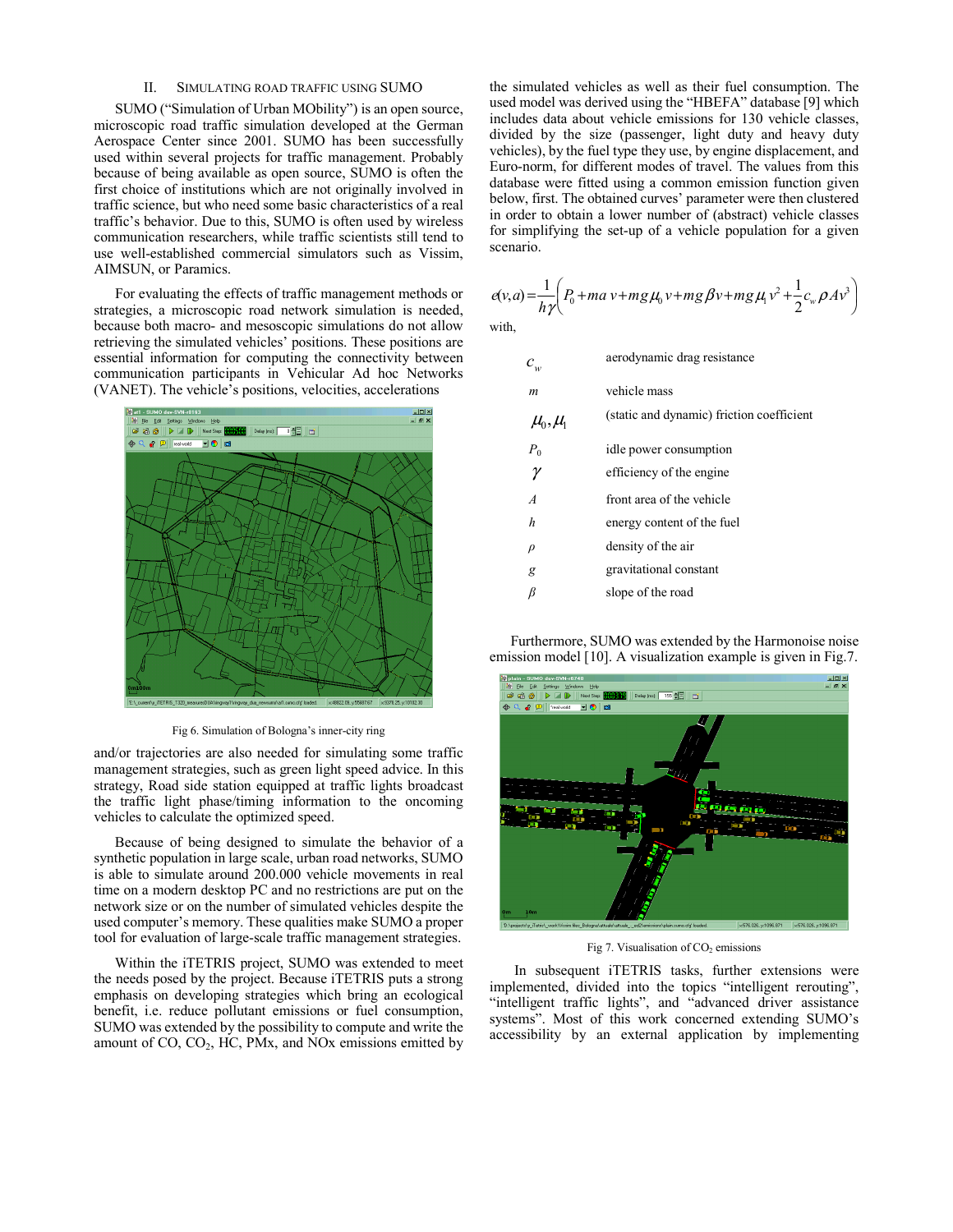### II. SIMULATING ROAD TRAFFIC USING SUMO

SUMO ("Simulation of Urban MObility") is an open source, microscopic road traffic simulation developed at the German Aerospace Center since 2001. SUMO has been successfully used within several projects for traffic management. Probably because of being available as open source, SUMO is often the first choice of institutions which are not originally involved in traffic science, but who need some basic characteristics of a real traffic's behavior. Due to this, SUMO is often used by wireless communication researchers, while traffic scientists still tend to use well-established commercial simulators such as Vissim, AIMSUN, or Paramics.

For evaluating the effects of traffic management methods or strategies, a microscopic road network simulation is needed, because both macro- and mesoscopic simulations do not allow retrieving the simulated vehicles' positions. These positions are essential information for computing the connectivity between communication participants in Vehicular Ad hoc Networks (VANET). The vehicle's positions, velocities, accelerations



Fig 6. Simulation of Bologna's inner-city ring

and/or trajectories are also needed for simulating some traffic management strategies, such as green light speed advice. In this strategy, Road side station equipped at traffic lights broadcast the traffic light phase/timing information to the oncoming vehicles to calculate the optimized speed.

Because of being designed to simulate the behavior of a synthetic population in large scale, urban road networks, SUMO is able to simulate around 200.000 vehicle movements in real time on a modern desktop PC and no restrictions are put on the network size or on the number of simulated vehicles despite the used computer's memory. These qualities make SUMO a proper tool for evaluation of large-scale traffic management strategies.

Within the iTETRIS project, SUMO was extended to meet the needs posed by the project. Because iTETRIS puts a strong emphasis on developing strategies which bring an ecological benefit, i.e. reduce pollutant emissions or fuel consumption, SUMO was extended by the possibility to compute and write the amount of  $CO$ ,  $CO<sub>2</sub>$ , HC, PMx, and NOx emissions emitted by the simulated vehicles as well as their fuel consumption. The used model was derived using the "HBEFA" database [9] which includes data about vehicle emissions for 130 vehicle classes, divided by the size (passenger, light duty and heavy duty vehicles), by the fuel type they use, by engine displacement, and Euro-norm, for different modes of travel. The values from this database were fitted using a common emission function given below, first. The obtained curves' parameter were then clustered in order to obtain a lower number of (abstract) vehicle classes for simplifying the set-up of a vehicle population for a given scenario.

$$
e(v,a) = \frac{1}{h\gamma} \left( P_0 + ma v + mg\mu_0 v + mg\beta v + mg\mu_1 v^2 + \frac{1}{2}c_w\rho A v^3 \right)
$$
  
with,

 $c_{\text{w}}^{\dagger}$ aerodynamic drag resistance m vehicle mass  $\mu_{0}^{\prime}, \mu_{1}^{\prime}$ (static and dynamic) friction coefficient  $P_0$ idle power consumption  $\gamma$  efficiency of the engine A front area of the vehicle h energy content of the fuel  $\rho$  density of the air g gravitational constant  $\beta$  slope of the road

Furthermore, SUMO was extended by the Harmonoise noise emission model [10]. A visualization example is given in Fig.7.



Fig 7. Visualisation of  $CO<sub>2</sub>$  emissions

 In subsequent iTETRIS tasks, further extensions were implemented, divided into the topics "intelligent rerouting", "intelligent traffic lights", and "advanced driver assistance systems". Most of this work concerned extending SUMO's accessibility by an external application by implementing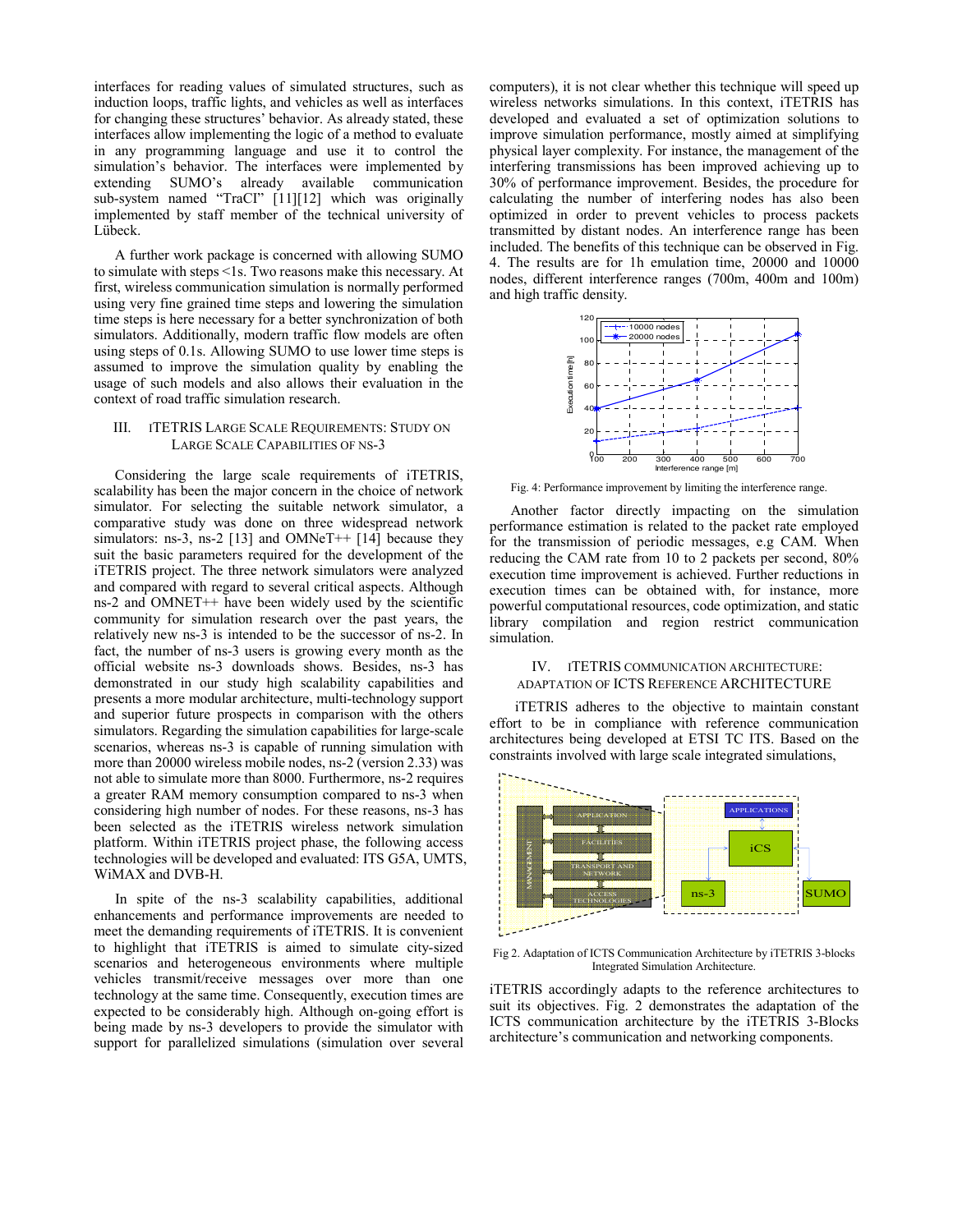interfaces for reading values of simulated structures, such as induction loops, traffic lights, and vehicles as well as interfaces for changing these structures' behavior. As already stated, these interfaces allow implementing the logic of a method to evaluate in any programming language and use it to control the simulation's behavior. The interfaces were implemented by extending SUMO's already available communication sub-system named "TraCI" [11][12] which was originally implemented by staff member of the technical university of Lübeck.

A further work package is concerned with allowing SUMO to simulate with steps <1s. Two reasons make this necessary. At first, wireless communication simulation is normally performed using very fine grained time steps and lowering the simulation time steps is here necessary for a better synchronization of both simulators. Additionally, modern traffic flow models are often using steps of 0.1s. Allowing SUMO to use lower time steps is assumed to improve the simulation quality by enabling the usage of such models and also allows their evaluation in the context of road traffic simulation research.

## III. ITETRIS LARGE SCALE REQUIREMENTS: STUDY ON LARGE SCALE CAPABILITIES OF NS-3

Considering the large scale requirements of iTETRIS, scalability has been the major concern in the choice of network simulator. For selecting the suitable network simulator, a comparative study was done on three widespread network simulators: ns-3, ns-2 [13] and OMNeT++  $[14]$  because they suit the basic parameters required for the development of the iTETRIS project. The three network simulators were analyzed and compared with regard to several critical aspects. Although ns-2 and OMNET++ have been widely used by the scientific community for simulation research over the past years, the relatively new ns-3 is intended to be the successor of ns-2. In fact, the number of ns-3 users is growing every month as the official website ns-3 downloads shows. Besides, ns-3 has demonstrated in our study high scalability capabilities and presents a more modular architecture, multi-technology support and superior future prospects in comparison with the others simulators. Regarding the simulation capabilities for large-scale scenarios, whereas ns-3 is capable of running simulation with more than 20000 wireless mobile nodes, ns-2 (version 2.33) was not able to simulate more than 8000. Furthermore, ns-2 requires a greater RAM memory consumption compared to ns-3 when considering high number of nodes. For these reasons, ns-3 has been selected as the iTETRIS wireless network simulation platform. Within iTETRIS project phase, the following access technologies will be developed and evaluated: ITS G5A, UMTS, WiMAX and DVB-H.

In spite of the ns-3 scalability capabilities, additional enhancements and performance improvements are needed to meet the demanding requirements of iTETRIS. It is convenient to highlight that iTETRIS is aimed to simulate city-sized scenarios and heterogeneous environments where multiple vehicles transmit/receive messages over more than one technology at the same time. Consequently, execution times are expected to be considerably high. Although on-going effort is being made by ns-3 developers to provide the simulator with support for parallelized simulations (simulation over several computers), it is not clear whether this technique will speed up wireless networks simulations. In this context, iTETRIS has developed and evaluated a set of optimization solutions to improve simulation performance, mostly aimed at simplifying physical layer complexity. For instance, the management of the interfering transmissions has been improved achieving up to 30% of performance improvement. Besides, the procedure for calculating the number of interfering nodes has also been optimized in order to prevent vehicles to process packets transmitted by distant nodes. An interference range has been included. The benefits of this technique can be observed in Fig. 4. The results are for 1h emulation time, 20000 and 10000 nodes, different interference ranges (700m, 400m and 100m) and high traffic density.



Fig. 4: Performance improvement by limiting the interference range.

Another factor directly impacting on the simulation performance estimation is related to the packet rate employed for the transmission of periodic messages, e.g CAM. When reducing the CAM rate from 10 to 2 packets per second, 80% execution time improvement is achieved. Further reductions in execution times can be obtained with, for instance, more powerful computational resources, code optimization, and static library compilation and region restrict communication simulation.

## IV. ITETRIS COMMUNICATION ARCHITECTURE: ADAPTATION OF ICTS REFERENCE ARCHITECTURE

 iTETRIS adheres to the objective to maintain constant effort to be in compliance with reference communication architectures being developed at ETSI TC ITS. Based on the constraints involved with large scale integrated simulations,



Fig 2. Adaptation of ICTS Communication Architecture by iTETRIS 3-blocks Integrated Simulation Architecture.

iTETRIS accordingly adapts to the reference architectures to suit its objectives. Fig. 2 demonstrates the adaptation of the ICTS communication architecture by the iTETRIS 3-Blocks architecture's communication and networking components.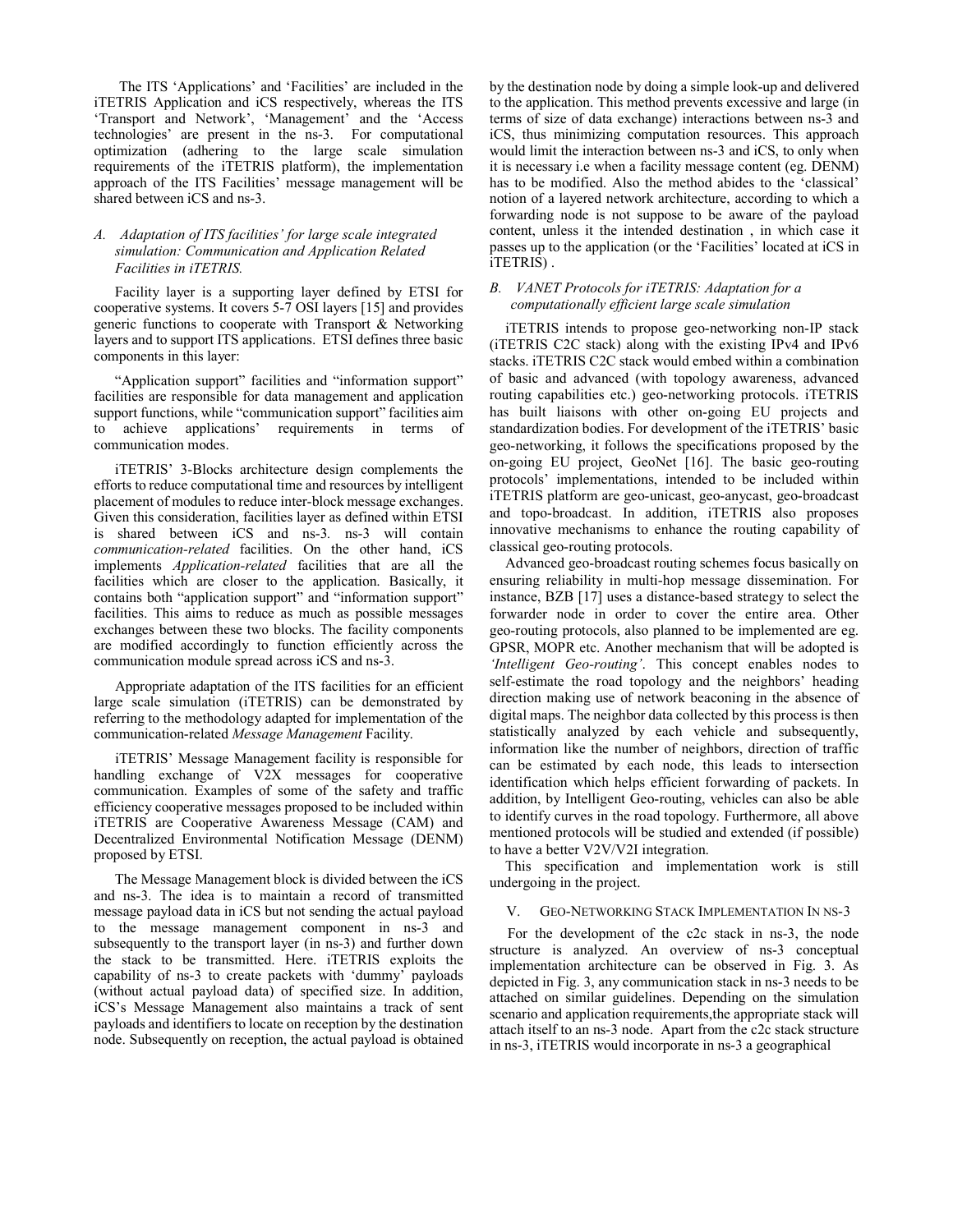The ITS 'Applications' and 'Facilities' are included in the iTETRIS Application and iCS respectively, whereas the ITS 'Transport and Network', 'Management' and the 'Access technologies' are present in the ns-3. For computational optimization (adhering to the large scale simulation requirements of the iTETRIS platform), the implementation approach of the ITS Facilities' message management will be shared between iCS and ns-3.

# A. Adaptation of ITS facilities' for large scale integrated simulation: Communication and Application Related Facilities in iTETRIS.

Facility layer is a supporting layer defined by ETSI for cooperative systems. It covers 5-7 OSI layers [15] and provides generic functions to cooperate with Transport & Networking layers and to support ITS applications. ETSI defines three basic components in this layer:

"Application support" facilities and "information support" facilities are responsible for data management and application support functions, while "communication support" facilities aim to achieve applications' requirements in terms of communication modes.

iTETRIS' 3-Blocks architecture design complements the efforts to reduce computational time and resources by intelligent placement of modules to reduce inter-block message exchanges. Given this consideration, facilities layer as defined within ETSI is shared between iCS and ns-3. ns-3 will contain communication-related facilities. On the other hand, iCS implements Application-related facilities that are all the facilities which are closer to the application. Basically, it contains both "application support" and "information support" facilities. This aims to reduce as much as possible messages exchanges between these two blocks. The facility components are modified accordingly to function efficiently across the communication module spread across iCS and ns-3.

Appropriate adaptation of the ITS facilities for an efficient large scale simulation (iTETRIS) can be demonstrated by referring to the methodology adapted for implementation of the communication-related Message Management Facility.

iTETRIS' Message Management facility is responsible for handling exchange of V2X messages for cooperative communication. Examples of some of the safety and traffic efficiency cooperative messages proposed to be included within iTETRIS are Cooperative Awareness Message (CAM) and Decentralized Environmental Notification Message (DENM) proposed by ETSI.

The Message Management block is divided between the iCS and ns-3. The idea is to maintain a record of transmitted message payload data in iCS but not sending the actual payload to the message management component in ns-3 and subsequently to the transport layer (in ns-3) and further down the stack to be transmitted. Here. iTETRIS exploits the capability of ns-3 to create packets with 'dummy' payloads (without actual payload data) of specified size. In addition, iCS's Message Management also maintains a track of sent payloads and identifiers to locate on reception by the destination node. Subsequently on reception, the actual payload is obtained by the destination node by doing a simple look-up and delivered to the application. This method prevents excessive and large (in terms of size of data exchange) interactions between ns-3 and iCS, thus minimizing computation resources. This approach would limit the interaction between ns-3 and iCS, to only when it is necessary i.e when a facility message content (eg. DENM) has to be modified. Also the method abides to the 'classical' notion of a layered network architecture, according to which a forwarding node is not suppose to be aware of the payload content, unless it the intended destination , in which case it passes up to the application (or the 'Facilities' located at iCS in iTETRIS) .

## B. VANET Protocols for iTETRIS: Adaptation for a computationally efficient large scale simulation

iTETRIS intends to propose geo-networking non-IP stack (iTETRIS C2C stack) along with the existing IPv4 and IPv6 stacks. iTETRIS C2C stack would embed within a combination of basic and advanced (with topology awareness, advanced routing capabilities etc.) geo-networking protocols. iTETRIS has built liaisons with other on-going EU projects and standardization bodies. For development of the iTETRIS' basic geo-networking, it follows the specifications proposed by the on-going EU project, GeoNet [16]. The basic geo-routing protocols' implementations, intended to be included within iTETRIS platform are geo-unicast, geo-anycast, geo-broadcast and topo-broadcast. In addition, iTETRIS also proposes innovative mechanisms to enhance the routing capability of classical geo-routing protocols.

Advanced geo-broadcast routing schemes focus basically on ensuring reliability in multi-hop message dissemination. For instance, BZB [17] uses a distance-based strategy to select the forwarder node in order to cover the entire area. Other geo-routing protocols, also planned to be implemented are eg. GPSR, MOPR etc. Another mechanism that will be adopted is 'Intelligent Geo-routing'. This concept enables nodes to self-estimate the road topology and the neighbors' heading direction making use of network beaconing in the absence of digital maps. The neighbor data collected by this process is then statistically analyzed by each vehicle and subsequently, information like the number of neighbors, direction of traffic can be estimated by each node, this leads to intersection identification which helps efficient forwarding of packets. In addition, by Intelligent Geo-routing, vehicles can also be able to identify curves in the road topology. Furthermore, all above mentioned protocols will be studied and extended (if possible) to have a better V2V/V2I integration.

This specification and implementation work is still undergoing in the project.

## V. GEO-NETWORKING STACK IMPLEMENTATION IN NS-3

 For the development of the c2c stack in ns-3, the node structure is analyzed. An overview of ns-3 conceptual implementation architecture can be observed in Fig. 3. As depicted in Fig. 3, any communication stack in ns-3 needs to be attached on similar guidelines. Depending on the simulation scenario and application requirements,the appropriate stack will attach itself to an ns-3 node. Apart from the c2c stack structure in ns-3, iTETRIS would incorporate in ns-3 a geographical